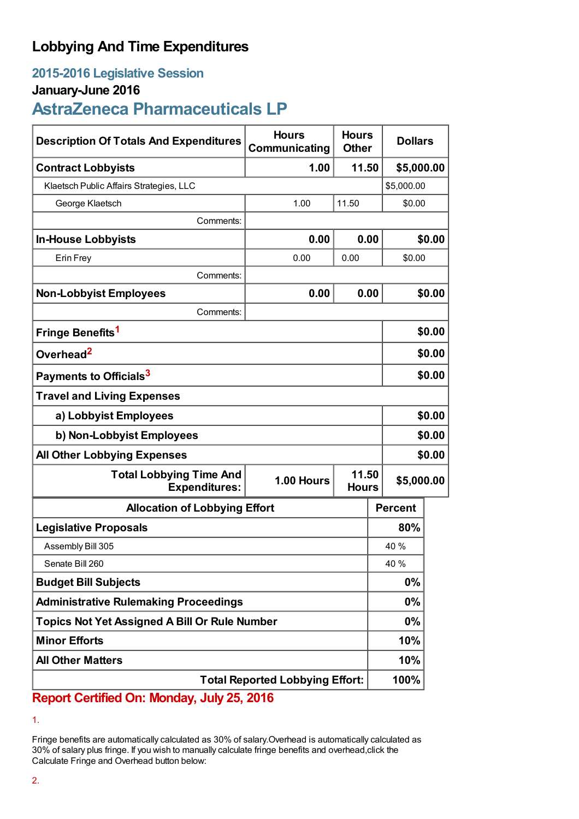## **Lobbying And Time Expenditures**

## **2015-2016 Legislative Session**

## **January-June 2016**

# **AstraZeneca Pharmaceuticals LP**

| <b>Description Of Totals And Expenditures</b>          | <b>Hours</b><br>Communicating | <b>Hours</b><br><b>Other</b> | <b>Dollars</b> |            |  |
|--------------------------------------------------------|-------------------------------|------------------------------|----------------|------------|--|
| <b>Contract Lobbyists</b>                              | 1.00                          | 11.50                        | \$5,000.00     |            |  |
| Klaetsch Public Affairs Strategies, LLC                |                               |                              |                | \$5,000.00 |  |
| George Klaetsch                                        | 1.00                          | 11.50                        | \$0.00         |            |  |
| Comments:                                              |                               |                              |                |            |  |
| <b>In-House Lobbyists</b>                              | 0.00                          | 0.00                         |                | \$0.00     |  |
| Erin Frey                                              | 0.00                          | 0.00                         | \$0.00         |            |  |
| Comments:                                              |                               |                              |                |            |  |
| <b>Non-Lobbyist Employees</b>                          | 0.00                          | 0.00                         |                | \$0.00     |  |
| Comments:                                              |                               |                              |                |            |  |
| Fringe Benefits <sup>1</sup>                           |                               |                              |                | \$0.00     |  |
| Overhead <sup>2</sup>                                  |                               |                              |                | \$0.00     |  |
| Payments to Officials <sup>3</sup>                     |                               |                              |                | \$0.00     |  |
| <b>Travel and Living Expenses</b>                      |                               |                              |                |            |  |
| a) Lobbyist Employees                                  |                               |                              |                | \$0.00     |  |
| b) Non-Lobbyist Employees                              |                               |                              |                | \$0.00     |  |
| <b>All Other Lobbying Expenses</b>                     |                               |                              |                | \$0.00     |  |
| <b>Total Lobbying Time And</b><br><b>Expenditures:</b> | 1.00 Hours                    | 11.50<br><b>Hours</b>        | \$5,000.00     |            |  |
| <b>Allocation of Lobbying Effort</b>                   |                               |                              | <b>Percent</b> |            |  |
| <b>Legislative Proposals</b>                           |                               |                              | 80%            |            |  |
| Assembly Bill 305                                      |                               |                              | 40 %           |            |  |
| Senate Bill 260                                        |                               |                              | 40 %           |            |  |
| <b>Budget Bill Subjects</b>                            |                               |                              | $0\%$          |            |  |
| <b>Administrative Rulemaking Proceedings</b>           |                               |                              | $0\%$          |            |  |
| <b>Topics Not Yet Assigned A Bill Or Rule Number</b>   |                               |                              | 0%             |            |  |
| <b>Minor Efforts</b>                                   |                               |                              | 10%            |            |  |
| <b>All Other Matters</b>                               |                               |                              | 10%            |            |  |
| <b>Total Reported Lobbying Effort:</b>                 |                               |                              | 100%           |            |  |

**Report Certified On: Monday, July 25, 2016**

<sup>1.</sup>

Fringe benefits are automatically calculated as 30% of salary.Overhead is automatically calculated as 30% of salary plus fringe. If you wish to manually calculate fringe benefits and overhead,click the Calculate Fringe and Overhead button below: